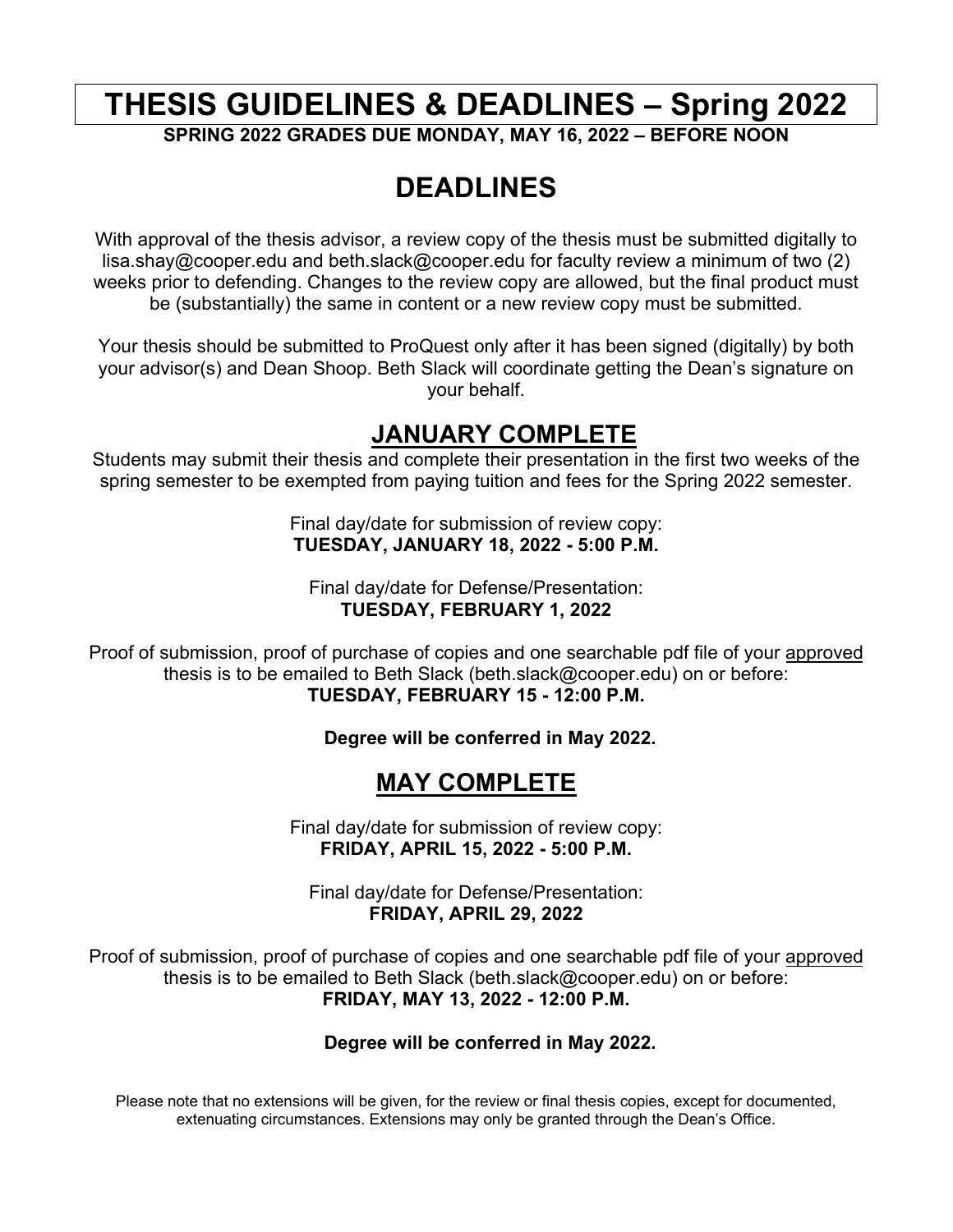# **THESIS GUIDELINES & DEADLINES – Spring 2022**

**SPRING 2022 GRADES DUE MONDAY, MAY 16, 2022 – BEFORE NOON**

# **DEADLINES**

With approval of the thesis advisor, a review copy of the thesis must be submitted digitally to lisa.shay@cooper.edu and beth.slack@cooper.edu for faculty review a minimum of two (2) weeks prior to defending. Changes to the review copy are allowed, but the final product must be (substantially) the same in content or a new review copy must be submitted.

Your thesis should be submitted to ProQuest only after it has been signed (digitally) by both your advisor(s) and Dean Shoop. Beth Slack will coordinate getting the Dean's signature on your behalf.

### **JANUARY COMPLETE**

Students may submit their thesis and complete their presentation in the first two weeks of the spring semester to be exempted from paying tuition and fees for the Spring 2022 semester.

> Final day/date for submission of review copy: **TUESDAY, JANUARY 18, 2022 - 5:00 P.M.**

Final day/date for Defense/Presentation: **TUESDAY, FEBRUARY 1, 2022**

Proof of submission, proof of purchase of copies and one searchable pdf file of your approved thesis is to be emailed to Beth Slack (beth.slack@cooper.edu) on or before: **TUESDAY, FEBRUARY 15 - 12:00 P.M.** 

**Degree will be conferred in May 2022.** 

### **MAY COMPLETE**

Final day/date for submission of review copy: **FRIDAY, APRIL 15, 2022 - 5:00 P.M.**

Final day/date for Defense/Presentation: **FRIDAY, APRIL 29, 2022** 

Proof of submission, proof of purchase of copies and one searchable pdf file of your approved thesis is to be emailed to Beth Slack (beth.slack@cooper.edu) on or before: **FRIDAY, MAY 13, 2022 - 12:00 P.M.** 

#### **Degree will be conferred in May 2022.**

Please note that no extensions will be given, for the review or final thesis copies, except for documented, extenuating circumstances. Extensions may only be granted through the Dean's Office.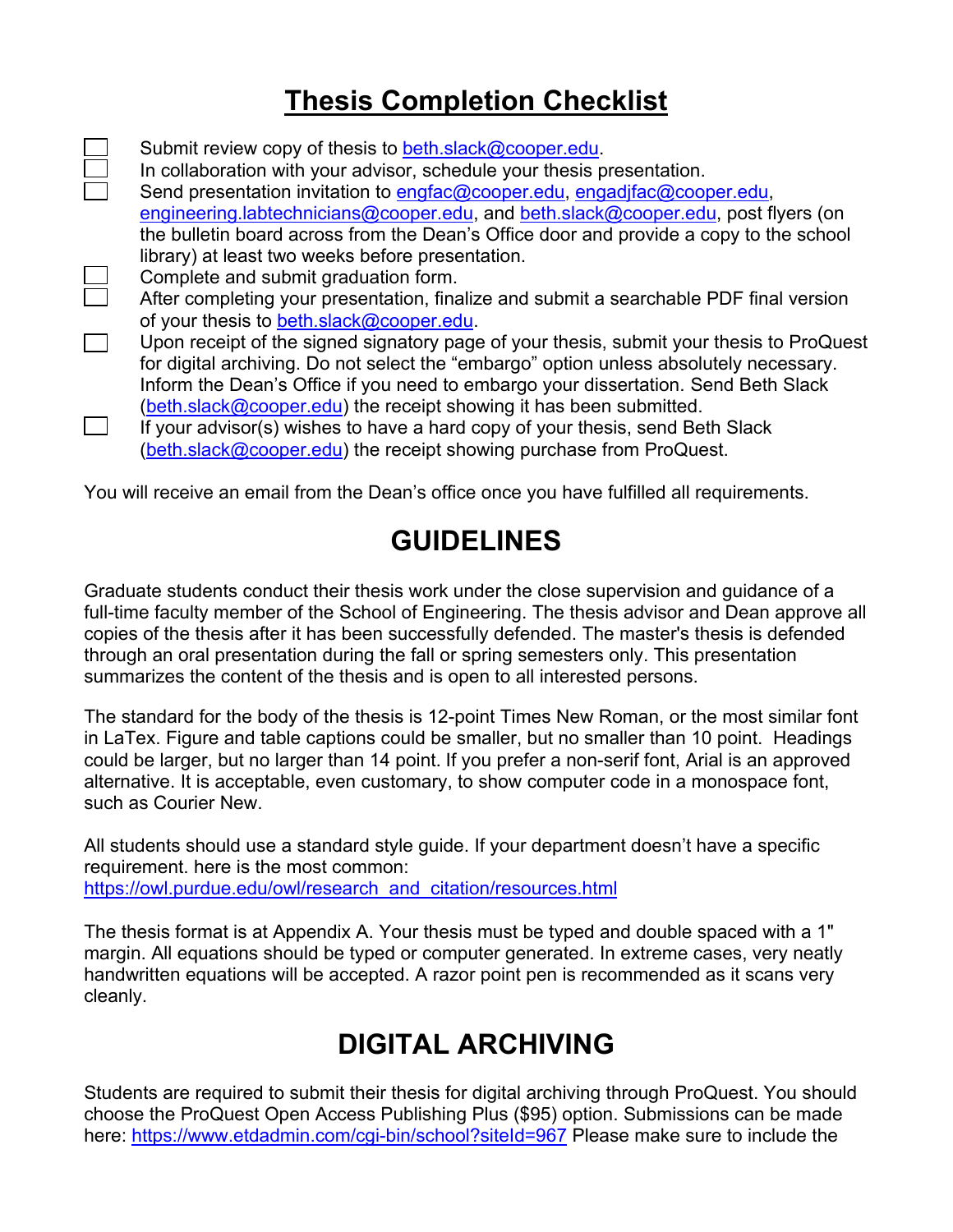# **Thesis Completion Checklist**

Submit review copy of thesis to beth.slack@cooper.edu. In collaboration with your advisor, schedule your thesis presentation. Send presentation invitation to engfac@cooper.edu, engadjfac@cooper.edu, engineering.labtechnicians@cooper.edu, and beth.slack@cooper.edu, post flyers (on the bulletin board across from the Dean's Office door and provide a copy to the school library) at least two weeks before presentation.  $\Box$ Complete and submit graduation form. After completing your presentation, finalize and submit a searchable PDF final version of your thesis to beth.slack@cooper.edu.  $\mathcal{L}_{\mathcal{A}}$ Upon receipt of the signed signatory page of your thesis, submit your thesis to ProQuest for digital archiving. Do not select the "embargo" option unless absolutely necessary. Inform the Dean's Office if you need to embargo your dissertation. Send Beth Slack (beth.slack@cooper.edu) the receipt showing it has been submitted.  $\overline{\phantom{a}}$ 

If your advisor(s) wishes to have a hard copy of your thesis, send Beth Slack (beth.slack@cooper.edu) the receipt showing purchase from ProQuest.

You will receive an email from the Dean's office once you have fulfilled all requirements.

## **GUIDELINES**

Graduate students conduct their thesis work under the close supervision and guidance of a full-time faculty member of the School of Engineering. The thesis advisor and Dean approve all copies of the thesis after it has been successfully defended. The master's thesis is defended through an oral presentation during the fall or spring semesters only. This presentation summarizes the content of the thesis and is open to all interested persons.

The standard for the body of the thesis is 12-point Times New Roman, or the most similar font in LaTex. Figure and table captions could be smaller, but no smaller than 10 point. Headings could be larger, but no larger than 14 point. If you prefer a non-serif font, Arial is an approved alternative. It is acceptable, even customary, to show computer code in a monospace font, such as Courier New.

All students should use a standard style guide. If your department doesn't have a specific requirement. here is the most common: https://owl.purdue.edu/owl/research\_and\_citation/resources.html

The thesis format is at Appendix A. Your thesis must be typed and double spaced with a 1" margin. All equations should be typed or computer generated. In extreme cases, very neatly handwritten equations will be accepted. A razor point pen is recommended as it scans very cleanly.

# **DIGITAL ARCHIVING**

Students are required to submit their thesis for digital archiving through ProQuest. You should choose the ProQuest Open Access Publishing Plus (\$95) option. Submissions can be made here: https://www.etdadmin.com/cgi-bin/school?siteId=967 Please make sure to include the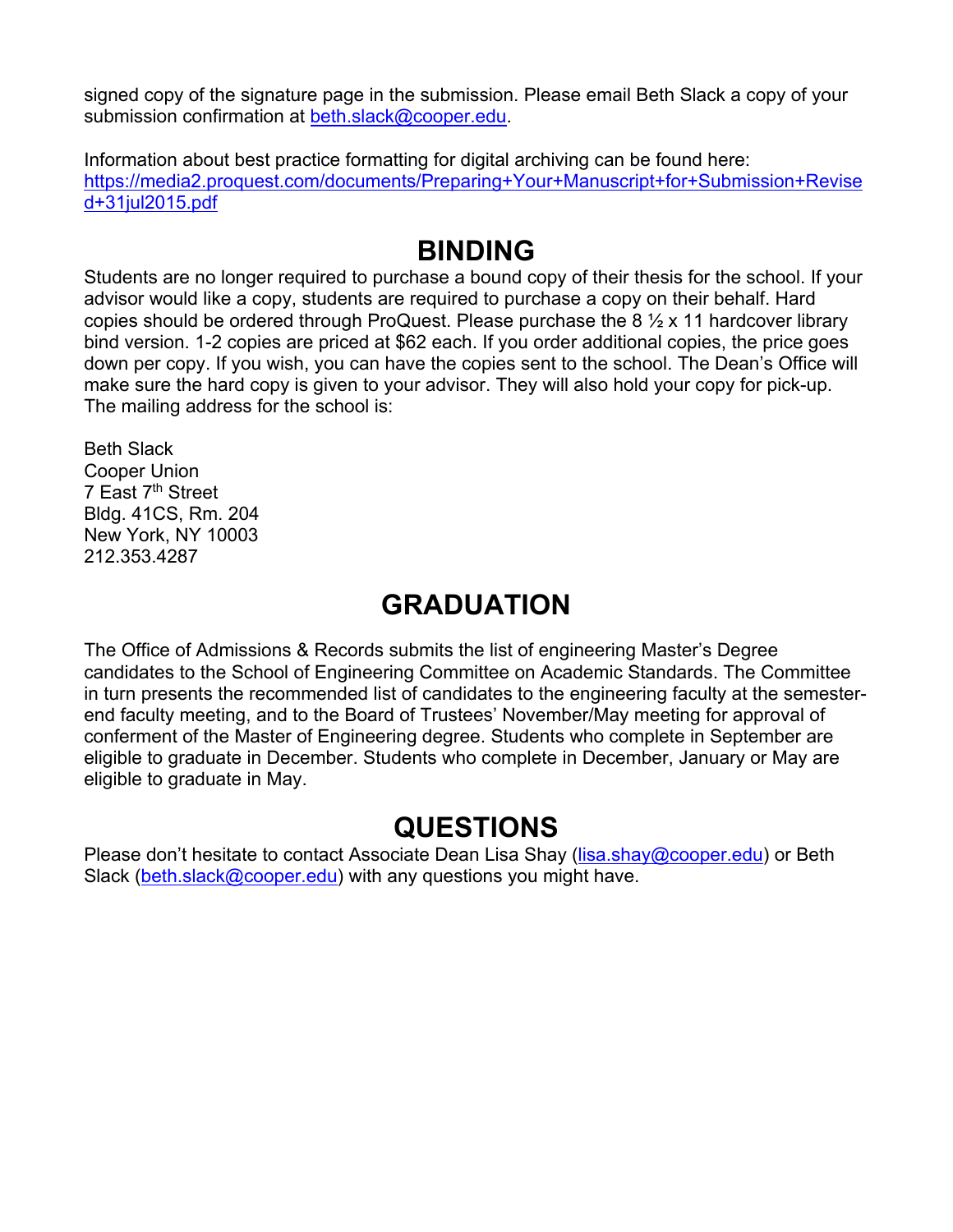signed copy of the signature page in the submission. Please email Beth Slack a copy of your submission confirmation at beth.slack@cooper.edu.

Information about best practice formatting for digital archiving can be found here: https://media2.proquest.com/documents/Preparing+Your+Manuscript+for+Submission+Revise d+31jul2015.pdf

# **BINDING**

Students are no longer required to purchase a bound copy of their thesis for the school. If your advisor would like a copy, students are required to purchase a copy on their behalf. Hard copies should be ordered through ProQuest. Please purchase the  $8\frac{1}{2}$  x 11 hardcover library bind version. 1-2 copies are priced at \$62 each. If you order additional copies, the price goes down per copy. If you wish, you can have the copies sent to the school. The Dean's Office will make sure the hard copy is given to your advisor. They will also hold your copy for pick-up. The mailing address for the school is:

Beth Slack Cooper Union 7 East 7<sup>th</sup> Street Bldg. 41CS, Rm. 204 New York, NY 10003 212.353.4287

## **GRADUATION**

The Office of Admissions & Records submits the list of engineering Master's Degree candidates to the School of Engineering Committee on Academic Standards. The Committee in turn presents the recommended list of candidates to the engineering faculty at the semesterend faculty meeting, and to the Board of Trustees' November/May meeting for approval of conferment of the Master of Engineering degree. Students who complete in September are eligible to graduate in December. Students who complete in December, January or May are eligible to graduate in May.

# **QUESTIONS**

Please don't hesitate to contact Associate Dean Lisa Shay (lisa.shay@cooper.edu) or Beth Slack (beth.slack@cooper.edu) with any questions you might have.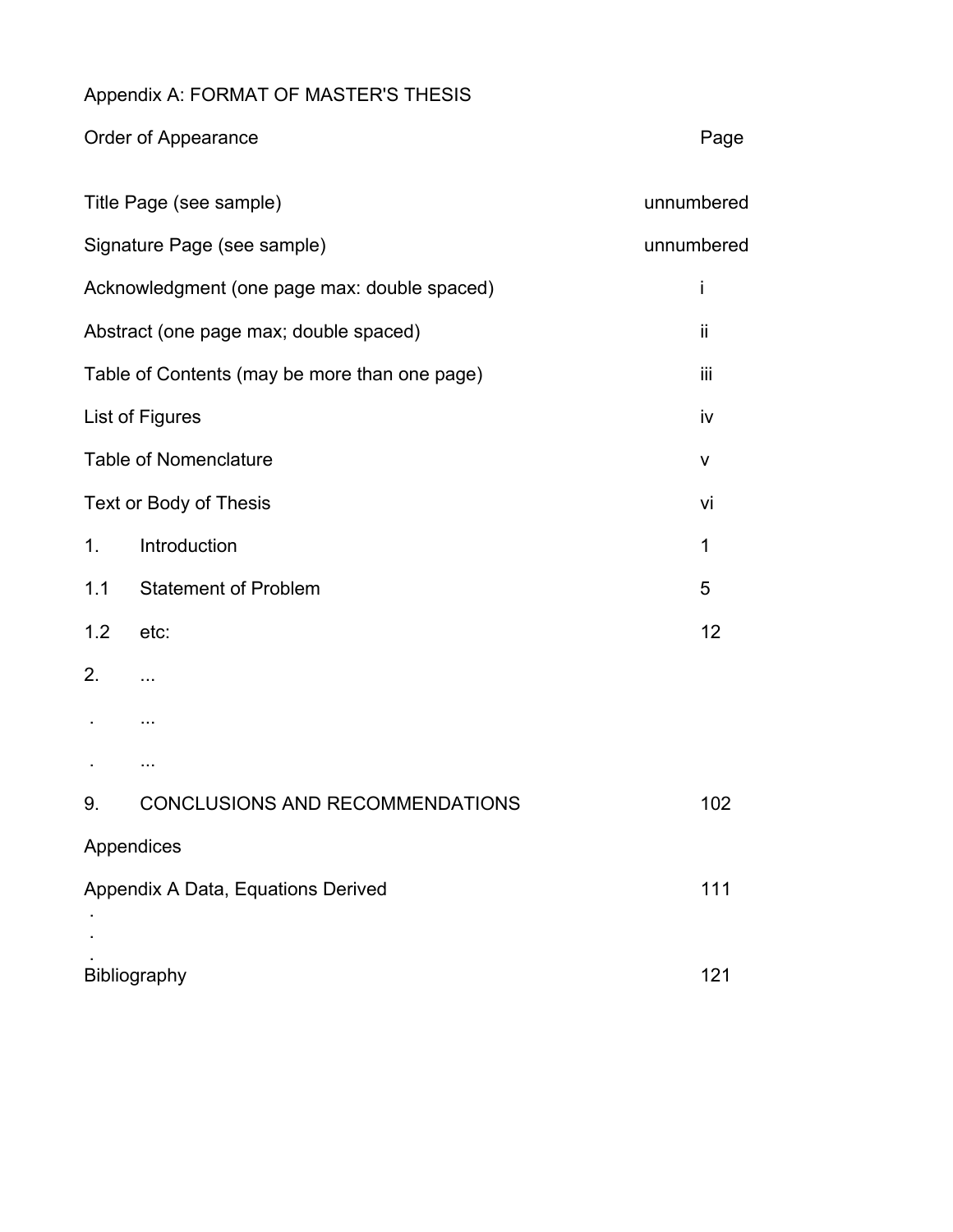#### Appendix A: FORMAT OF MASTER'S THESIS

|                                               | Order of Appearance                    | Page       |
|-----------------------------------------------|----------------------------------------|------------|
| Title Page (see sample)                       |                                        | unnumbered |
| Signature Page (see sample)                   |                                        | unnumbered |
| Acknowledgment (one page max: double spaced)  |                                        | İ          |
| Abstract (one page max; double spaced)        |                                        | ii         |
| Table of Contents (may be more than one page) |                                        | iii        |
| List of Figures                               |                                        | iv         |
| <b>Table of Nomenclature</b>                  |                                        | v          |
| Text or Body of Thesis                        |                                        | vi         |
| 1.                                            | Introduction                           | 1          |
| 1.1                                           | <b>Statement of Problem</b>            | 5          |
| 1.2                                           | etc:                                   | 12         |
| 2.                                            | .                                      |            |
|                                               | .                                      |            |
|                                               | .                                      |            |
| 9.                                            | <b>CONCLUSIONS AND RECOMMENDATIONS</b> | 102        |
|                                               | Appendices                             |            |
| Appendix A Data, Equations Derived            |                                        | 111        |
|                                               |                                        |            |
| Bibliography                                  |                                        | 121        |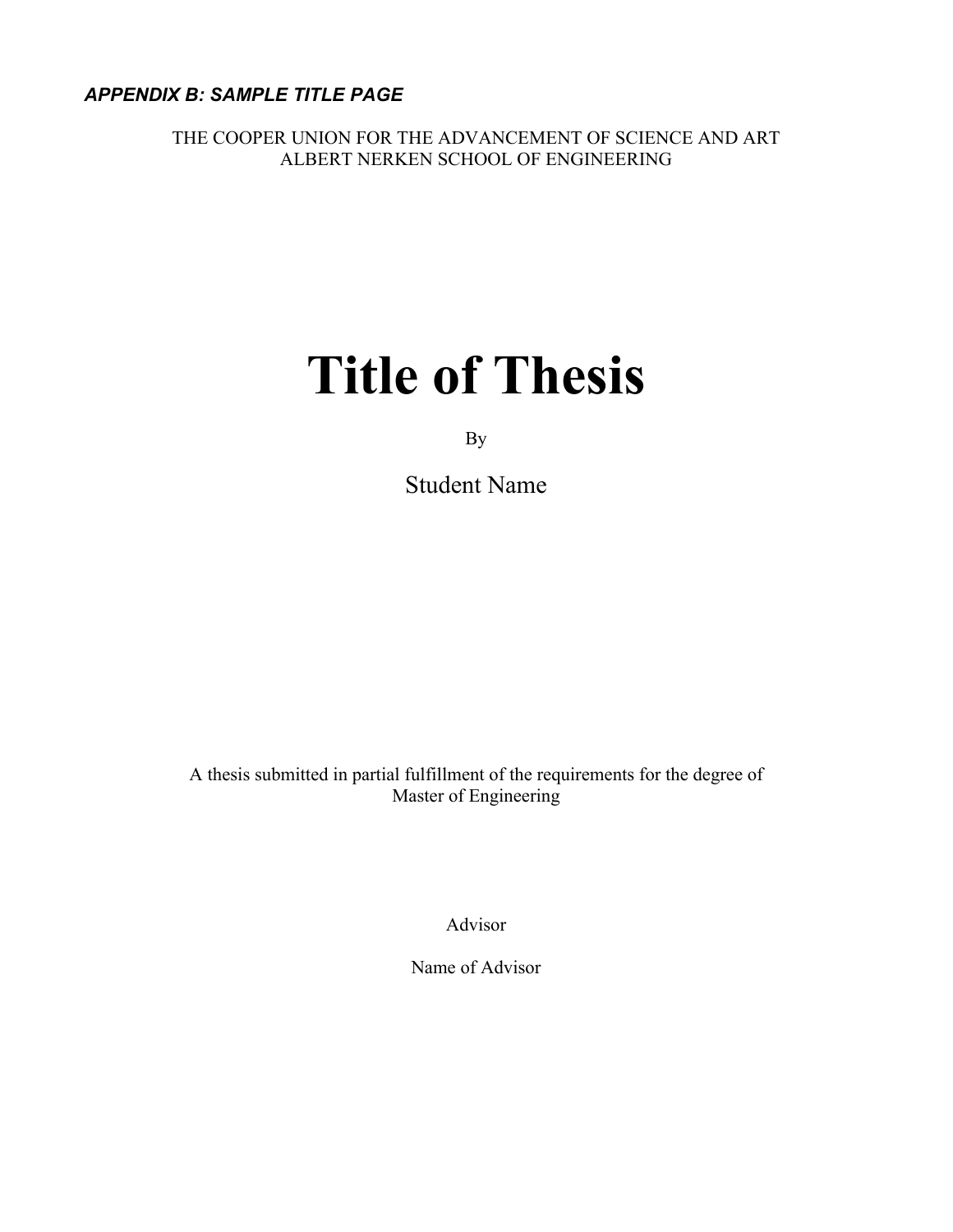*APPENDIX B: SAMPLE TITLE PAGE*

THE COOPER UNION FOR THE ADVANCEMENT OF SCIENCE AND ART ALBERT NERKEN SCHOOL OF ENGINEERING

# **Title of Thesis**

By

Student Name

A thesis submitted in partial fulfillment of the requirements for the degree of Master of Engineering

Advisor

Name of Advisor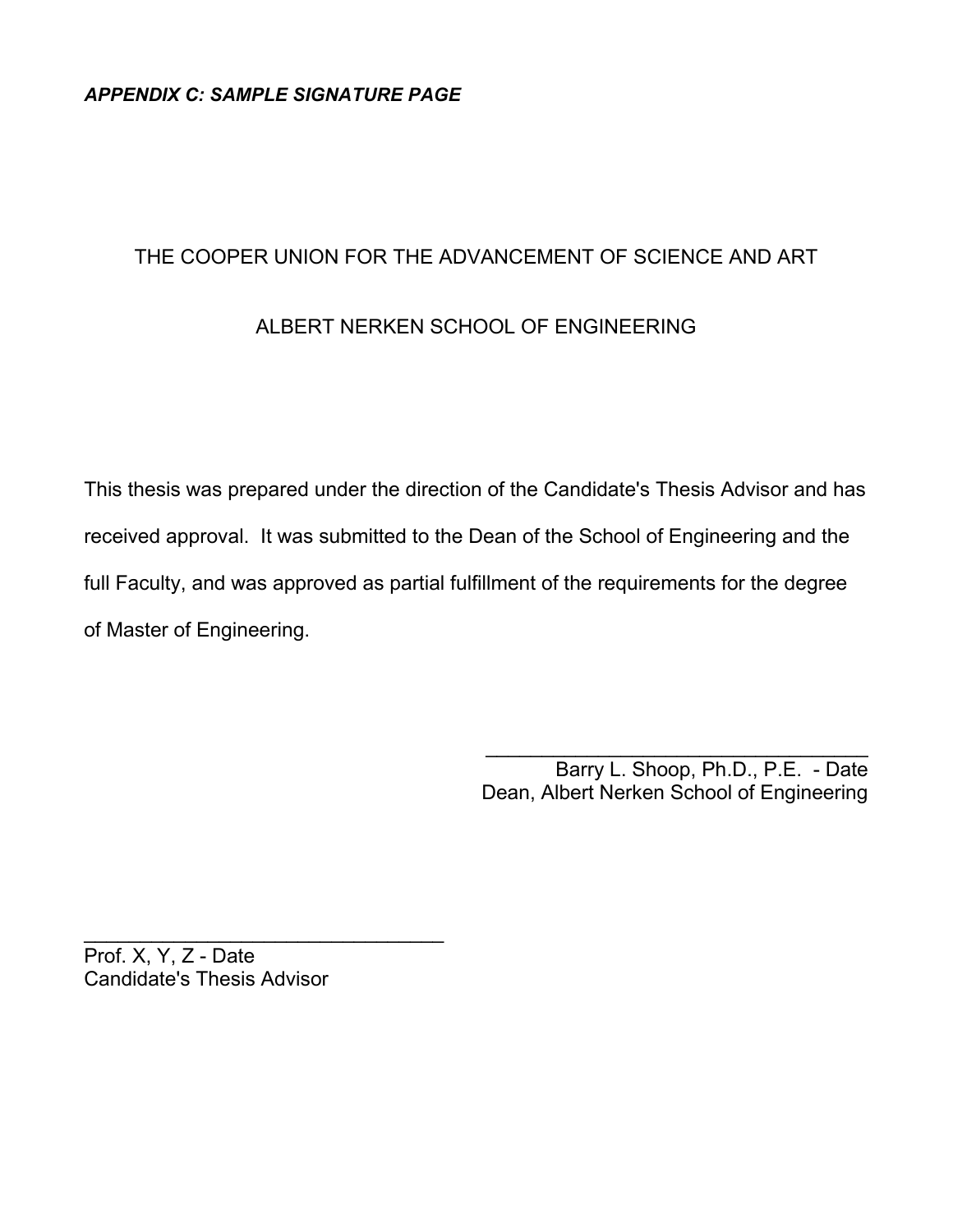#### THE COOPER UNION FOR THE ADVANCEMENT OF SCIENCE AND ART

#### ALBERT NERKEN SCHOOL OF ENGINEERING

This thesis was prepared under the direction of the Candidate's Thesis Advisor and has received approval. It was submitted to the Dean of the School of Engineering and the full Faculty, and was approved as partial fulfillment of the requirements for the degree of Master of Engineering.

> Barry L. Shoop, Ph.D., P.E. - Date Dean, Albert Nerken School of Engineering

\_\_\_\_\_\_\_\_\_\_\_\_\_\_\_\_\_\_\_\_\_\_\_\_\_\_\_\_\_\_\_\_\_\_

Prof. X, Y, Z - Date Candidate's Thesis Advisor

\_\_\_\_\_\_\_\_\_\_\_\_\_\_\_\_\_\_\_\_\_\_\_\_\_\_\_\_\_\_\_\_